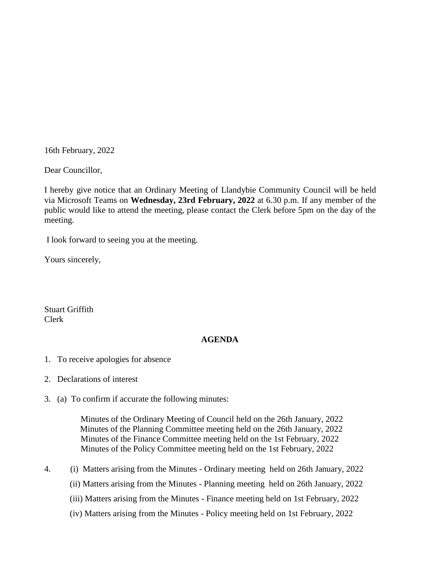16th February, 2022

Dear Councillor,

I hereby give notice that an Ordinary Meeting of Llandybie Community Council will be held via Microsoft Teams on **Wednesday, 23rd February, 2022** at 6.30 p.m. If any member of the public would like to attend the meeting, please contact the Clerk before 5pm on the day of the meeting.

I look forward to seeing you at the meeting.

Yours sincerely,

Stuart Griffith Clerk

## **AGENDA**

- 1. To receive apologies for absence
- 2. Declarations of interest
- 3. (a) To confirm if accurate the following minutes:

 Minutes of the Ordinary Meeting of Council held on the 26th January, 2022 Minutes of the Planning Committee meeting held on the 26th January, 2022 Minutes of the Finance Committee meeting held on the 1st February, 2022 Minutes of the Policy Committee meeting held on the 1st February, 2022

- 4. (i) Matters arising from the Minutes Ordinary meeting held on 26th January, 2022
	- (ii) Matters arising from the Minutes Planning meeting held on 26th January, 2022
	- (iii) Matters arising from the Minutes Finance meeting held on 1st February, 2022
	- (iv) Matters arising from the Minutes Policy meeting held on 1st February, 2022